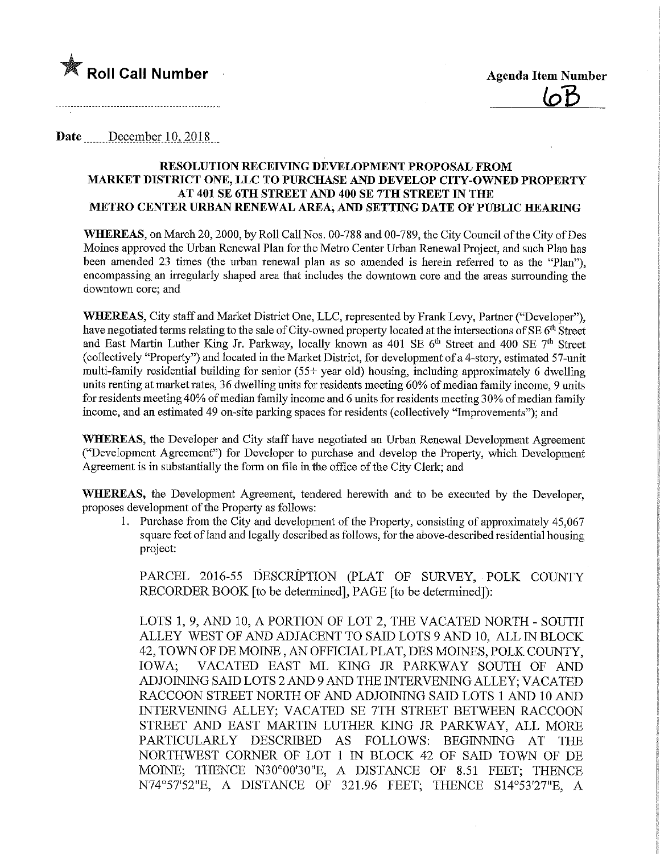

Date December 10, 2018

#### RESOLUTION RECEIVING DEVELOPMENT PROPOSAL FROM MARKET DISTRICT ONE, LLC TO PURCHASE AND DEVELOP CITY-OWNED PROPERTY AT 401 SE 6TH STREET AND 400 SE 7TH STREET IN THE METRO CENTER URBAN RENEWAL AREA, AND SETTING DATE OF PUBLIC HEARING

WHEREAS, on March 20, 2000, by Roll Call Nos. 00-788 and 00-789, the City Council of the City of Des Moines approved the Urban Renewal Plan for the Metro Center Urban Renewal Project, and such Plan has been amended 23 times (the urban renewal plan as so amended is herein referred to as the "Plan"), encompassing an irregularly shaped area that includes the downtown core and the areas surrounding the downtown core; and

WHEREAS, City staff and Market District One, LLC, represented by Frank Levy, Partner ("Developer"), have negotiated terms relating to the sale of City-owned property located at the intersections of SE 6<sup>th</sup> Street and East Martin Luther King Jr. Parkway, locally known as 401 SE 6<sup>th</sup> Street and 400 SE 7<sup>th</sup> Street (collectively "Property") and located in the Market District, for development of a 4-story, estimated 57-unit multi-family residential building for senior (55+ year old) housing, including approximately 6 dwelling units renting at market rates, 36 dwelling units for residents meeting 60% of median family income, 9 units for residents meeting 40% of median family income and 6 units for residents meeting 3 0% of median family income, and an estimated 49 on-site parking spaces for residents (collectively "Improvements"); and

WHEREAS, the Developer and City staff have negotiated an Urban Renewal Development Agreement ("Development Agreement") for Developer to purchase and develop the Property, which Development Agreement is in substantially the form on file in the office of the City Clerk; and

WHEREAS, the Development Agreement, tendered herewith and to be executed by the Developer, proposes development of the Property as follows:

1. Purchase from the City and development of the Property, consisting of approximately 45,067 square feet of land and legally described as follows, for the above-described residential housing project:

PARCEL 2016-55 DESCRIPTION (PLAT OF SURVEY, POLK COUNTY RECORDER BOOK [to be determined], PAGE [to be determined]):

LOTS 1, 9, AND 10, A PORTION OF LOT 2, THE VACATED NORTH - SOUTH ALLEY WEST OF AND ADJACENT TO SAID LOTS 9 AND 10, ALL IN BLOCK 42, TOWN OF DE MOINE , AN OFFICIAL PLAT, DES MOINES, POLK COUNTY, IOWA; VACATED EAST ML KING JR PARKWAY SOUTH OF AND ADJOINING SAID LOTS 2 AND 9 AND THE INTERVENING ALLEY; VACATED RACCOON STREET NORTH OF AND ADJOMNG SAID LOTS 1 AND 10 AND INTERVENLNG ALLEY; VACATED SE 7TH STREET BETWEEN RACCOON STREET AND EAST MARTIN LUTHER KING JR PARKWAY, ALL MORE PARTICULARLY DESCRIBED AS FOLLOWS: BEGINNING AT THE NORTHWEST CORNER OF LOT 1 IN BLOCK 42 OF SAID TOWN OF DE MOINE; THENCE N30°00'30"E, A DISTANCE OF 8.51 FEET; THENCE N74°57'52"E, A DISTANCE OF 321.96 FEET; THENCE S14°53'27"E, A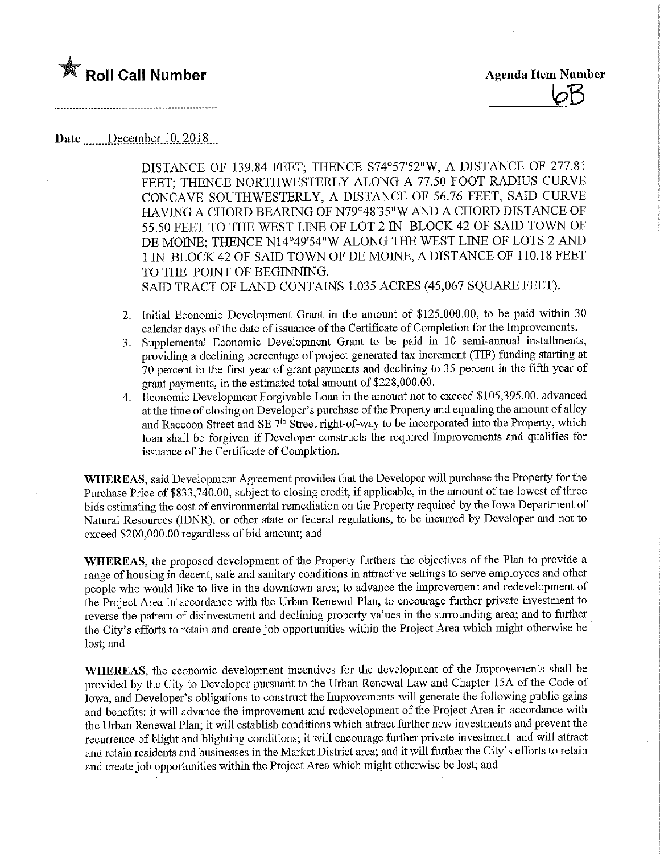



# Date December 10, 2018

DISTANCE OF 139.84 FEET; THENCE S74°57'52"W, A DISTANCE OF 277.81 FEET; THENCE NORTHWESTERLY ALONG A 77.50 FOOT RADIUS CURVE CONCAVE SOUTHWESTERLY, A DISTANCE OF 56.76 FEET, SAID CURVE HAVING A CHORD BEARING OF N79°48'35"W AND A CHORD DISTANCE OF 55.50 FEET TO THE WEST LINE OF LOT 2 IN BLOCK 42 OF SAID TOWN OF DE MOINE; THENCE N14°49'54"W ALONG THE WEST LINE OF LOTS 2 AND 1 IN BLOCK 42 OF SAID TOWN OF DE MOINE, A DISTANCE OF 110.18 FEET TO THE POINT OF BEGINNING. SAID TRACT OF LAND CONTAINS 1.035 ACRES (45,067 SQUARE FEET).

- 2. Initial Economic Development Grant in the amount of \$125,000.00, to be paid within 30 calendar days of the date of issuance of the Certificate of Completion for the Improvements.
- 3. Supplemental Economic Development Grant to be paid in 10 semi-annual installments, providing a declining percentage of project generated tax increment (TIP) funding starting at 70 percent in the first year of grant payments and declining to 35 percent in the fifth year of grant payments, in the estimated total amount of \$228,000.00.
- 4. Economic Development Forgivable Loan in the amount not to exceed \$105,395.00, advanced at the time of closing on Developer's purchase of the Property and equaling the amount of alley and Raccoon Street and SE  $7<sup>th</sup>$  Street right-of-way to be incorporated into the Property, which loan shall be forgiven if Developer constructs the required Improvements and qualifies for issuance of the Certificate of Completion.

WHEREAS, said Development Agreement provides that the Developer will purchase the Property for the Purchase Price of \$833,740.00, subject to closing credit, if applicable, in the amount of the lowest of three bids estimating the cost of environmental remediation on the Property required by the Iowa Department of Natural Resources (IDNR), or other state or federal regulations, to be incurred by Developer and not to exceed \$200,000.00 regardless of bid amount; and

WHEREAS, the proposed development of the Property furthers the objectives of the Plan to provide a range of housing in decent, safe and sanitary conditions in attractive settings to serve employees and other people who would like to live in the downtown area; to advance fhe improvement and redevelopment of the Project Area in accordance with the Urban Renewal Plan; to encourage further private mvestment to reverse the pattern of dismvestment and declining property values in the surrounding area; and to further the City's efforts to retain and create job opportunities within the Project Area which might otherwise be lost; and

WHEREAS, the economic development incentives for the development of the Improvements shall be provided by the City to Developer pursuant to the Urban Renewal Law and Chapter 15A of the Code of Iowa, and Developer's obligations to construct the Improvements will generate the following public gains and benefits: it will advance the improvement and redevelopment of the Project Area in accordance with the Urban Renewal Plan; it will establish conditions which attract further new investments and prevent the recurrence of blight and blighting conditions; it will encourage further private investment and will attract and retain residents and businesses in the Market District area; and it will further the City's efforts to retain and create job opportunities within the Project Area which might otherwise be lost; and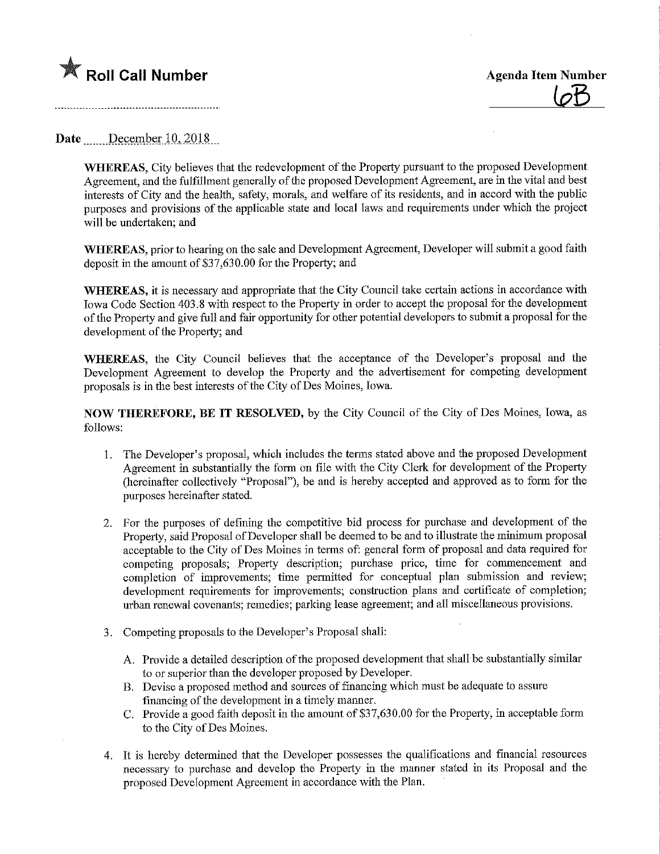

## Date December  $10, 2018$

WHEREAS, City believes that the redevelopment of the Property pursuant to the proposed Development Agreement, and the fulfillment generally of the proposed Development Agreement, are in the vital and best interests of City and the health, safety, morals, and welfare of its residents, and in accord with the public purposes and provisions of the applicable state and local laws and requirements under which the project will be undertaken; and

WHEREAS, prior to hearing on the sale and Development Agreement, Developer will submit a good faith deposit in the amount of \$37,630.00 for the Property; and

WHEREAS, it is necessary and appropriate that the City Council take certain actions in accordance with Iowa Code Section 403.8 with respect to the Property in order to accept the proposal for the development of the Property and give full and fair opportunity for other potential developers to submit a proposal for the development of the Property; and

WHEREAS, the City Council believes that the acceptance of the Developer's proposal and the Development Agreement to develop the Property and the advertisement for competing development proposals is in the best interests of the City of Des Moines, Iowa.

NOW THEREFORE, BE IT RESOLVED, by the City Council of the City of Des Moines, Iowa, as follows:

- 1. The Developer's proposal, which includes the terms stated above and the proposed Development Agreement in substantially the form on file with the City Clerk for development of the Property (hereinafter collectively "Proposal"), be and is hereby accepted and approved as to form for the purposes hereinafter stated.
- 2. For the purposes of defming the competitive bid process for purchase and development of the Property, said Proposal of Developer shall be deemed to be and to illustrate the minimum proposal acceptable to the City of Des Moines in terms of: general form of proposal and data required for competing proposals; Property description; purchase price, time for commencement and completion of improvements; time permitted for conceptual plan submission and review; development requirements for improvements; construction plans and certificate of completion; urban renewal covenants; remedies; parking lease agreement; and all miscellaneous provisions.
- 3. Competing proposals to the Developer's Proposal shall:
	- A. Provide a detailed description of the proposed development that shall be substantially similar to or superior than the developer proposed by Developer.
	- B. Devise a proposed method and sources of financing which must be adequate to assure financing of the development in a timely manner.
	- C. Provide a good faith deposit in the amount of \$37,630.00 for the Property, in acceptable form to the City of Des Moines.
- 4. It is hereby determined that the Developer possesses the qualifications and financial resources necessary to purchase and develop the Property m the manner stated in its Proposal and the proposed Development Agreement in accordance with the Plan.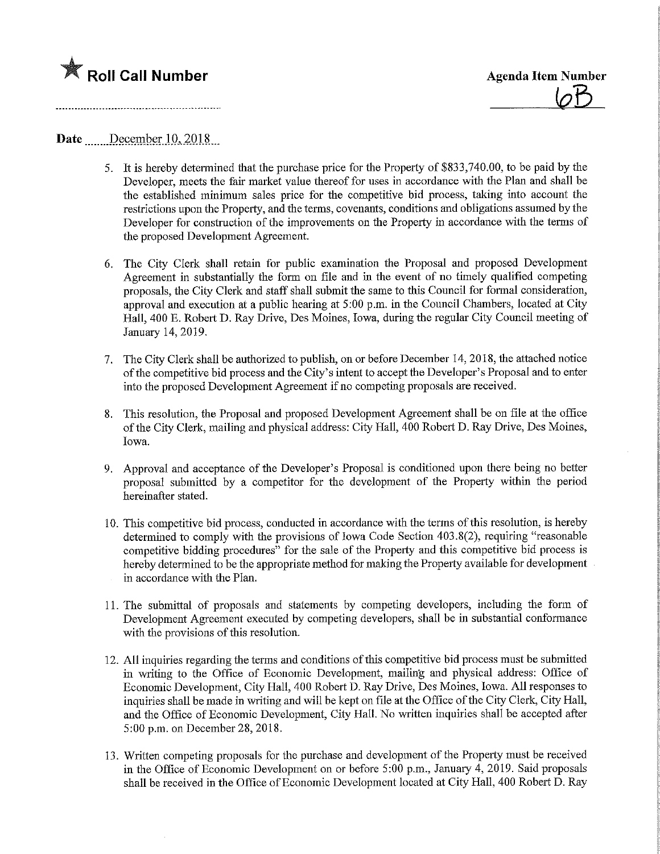

### Date December 10, 2018

- 5. It is hereby determined that the purchase price for the Property of \$833,740.00, to be paid by the Developer, meets fhe fair market value thereof for uses in accordance with the Plan and shall be the established mmimum sales price for the competitive bid process, taking into account the restrictions upon the Property, and fhe terms, covenants, conditions and obligations assumed by the Developer for construction of the improvements on the Property in accordance with the terms of the proposed Development Agreement.
- 6. The City Clerk shall retain for public examination the Proposal and proposed Development Agreement in substantially the form on file and in the event of no timely qualified competing proposals, the City Clerk and staff shall submit the same to this Council for formal consideration, approval and execution at a public hearing at 5:00 p.m. in the Council Chambers, located at City Hall, 400 E. Robert D. Ray Drive, Des Moines, Iowa, during the regular City Council meeting of January 14,2019.
- 7. The City Clerk shall be authorized to publish, on or before December 14, 2018, the attached notice of the competitive bid process and the City's intent to accept the Developer's Proposal and to enter into the proposed Development Agreement if no competing proposals are received.
- 8. This resolution, the Proposal and proposed Development Agreement shall be on file at the office of the City Clerk, mailing and physical address: City Hall, 400 Robert D. Ray Drive, Des Moines, Iowa.
- 9. Approval and acceptance of the Developer's Proposal is conditioned upon there being no better proposal submitted by a competitor for the development of the Property within the period hereinafter stated.
- 10. This competitive bid process, conducted in accordance with the terms of this resolution, is hereby determmed to comply with the provisions of Iowa Code Section 403.8(2), requiring "reasonable competitive bidding procedures" for the sale of the Property and this competitive bid process is hereby determined to be the appropriate method for making the Property available for development in accordance with the Plan.
- 11. The submittal of proposals and statements by competing developers, including the form of Development Agreement executed by competing developers, shall be in substantial conformance with the provisions of this resolution.
- 12. All inquiries regarding the terms and conditions of this competitive bid process must be submitted in writing to the Office of Economic Development, mailm'g and physical address: Office of Economic Development, City Hall, 400 Robert D. Ray Drive, Des Moines, Iowa. All responses to inquiries shall be made in writing and will be kept on file at the Office of the City Clerk, City Hall, and the Office of Economic Development, City Hall. No written inquiries shall be accepted after 5:00 p.m. on December 28, 2018.
- 13. Written competing proposals for the purchase and development of the Property must be received in the Office of Economic Development on or before 5:00 p.m., January 4, 2019. Said proposals shall be received in the Office of Economic Development located at City Hall, 400 Robert D. Ray